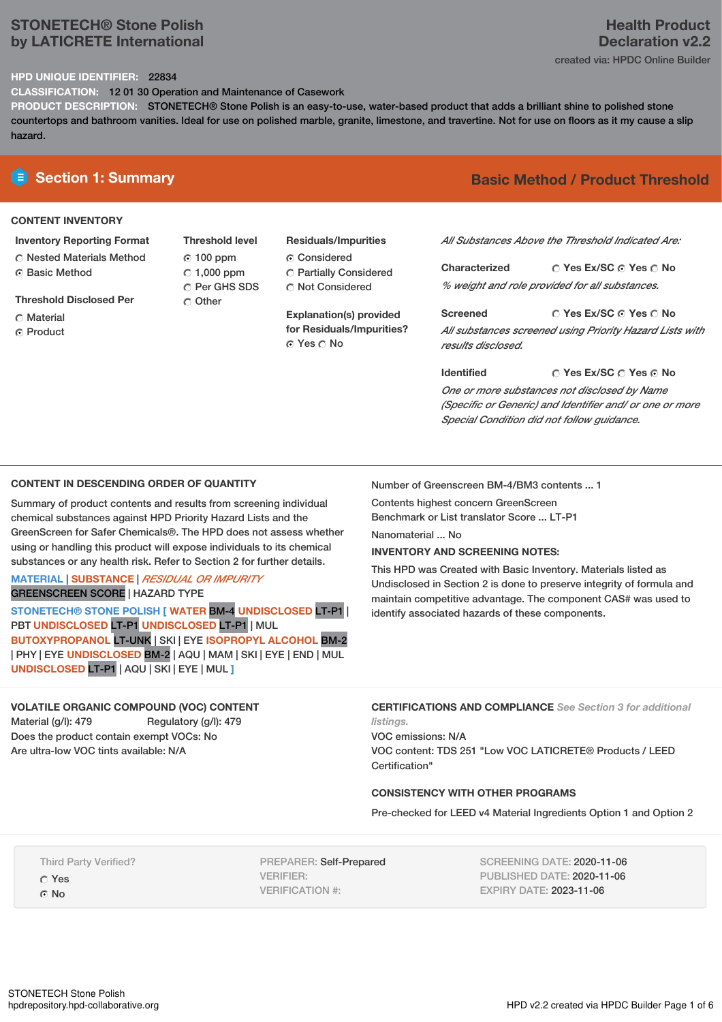# **STONETECH® Stone Polish by LATICRETE International**

# **Health Product Declaration v2.2**

created via: HPDC Online Builder

## **HPD UNIQUE IDENTIFIER:** 22834

**CLASSIFICATION:** 12 01 30 Operation and Maintenance of Casework

**PRODUCT DESCRIPTION:** STONETECH® Stone Polish is an easy-to-use, water-based product that adds a brilliant shine to polished stone countertops and bathroom vanities. Ideal for use on polished marble, granite, limestone, and travertine. Not for use on floors as it my cause a slip hazard.

# **CONTENT INVENTORY**

## **Inventory Reporting Format**

**C** Nested Materials Method ⊙ Basic Method

**Threshold Disclosed Per**

- C Material
- Product

**Threshold level** 100 ppm  $\degree$  1,000 ppm C Per GHS SDS Other

# **Residuals/Impurities**

Considered Partially Considered C Not Considered

**Explanation(s) provided for Residuals/Impurities?** © Yes ○ No

# **E** Section 1: Summary **Basic Method / Product Threshold**

*All Substances Above the Threshold Indicated Are:*

**Yes Ex/SC Yes No Characterized** *% weight and role provided for all substances.*

**Yes Ex/SC Yes No Screened** *All substances screened using Priority Hazard Lists with results disclosed.*

**Yes Ex/SC Yes No Identified** *One or more substances not disclosed by Name (Specific or Generic) and Identifier and/ or one or more Special Condition did not follow guidance.*

#### **CONTENT IN DESCENDING ORDER OF QUANTITY**

Summary of product contents and results from screening individual chemical substances against HPD Priority Hazard Lists and the GreenScreen for Safer Chemicals®. The HPD does not assess whether using or handling this product will expose individuals to its chemical substances or any health risk. Refer to Section 2 for further details.

## **MATERIAL** | **SUBSTANCE** | *RESIDUAL OR IMPURITY* GREENSCREEN SCORE | HAZARD TYPE

**STONETECH® STONE POLISH [ WATER** BM-4 **UNDISCLOSED** LT-P1 | PBT **UNDISCLOSED** LT-P1 **UNDISCLOSED** LT-P1 | MUL **BUTOXYPROPANOL** LT-UNK | SKI | EYE **ISOPROPYL ALCOHOL** BM-2 | PHY | EYE **UNDISCLOSED** BM-2 | AQU | MAM | SKI | EYE | END | MUL **UNDISCLOSED** LT-P1 | AQU | SKI | EYE | MUL **]**

#### **VOLATILE ORGANIC COMPOUND (VOC) CONTENT** Material (g/l): 479 Regulatory (g/l): 479 Does the product contain exempt VOCs: No Are ultra-low VOC tints available: N/A

Number of Greenscreen BM-4/BM3 contents ... 1

Contents highest concern GreenScreen Benchmark or List translator Score ... LT-P1

Nanomaterial ... No

#### **INVENTORY AND SCREENING NOTES:**

This HPD was Created with Basic Inventory. Materials listed as Undisclosed in Section 2 is done to preserve integrity of formula and maintain competitive advantage. The component CAS# was used to identify associated hazards of these components.

**CERTIFICATIONS AND COMPLIANCE** *See Section 3 for additional listings.*

VOC emissions: N/A VOC content: TDS 251 "Low VOC LATICRETE® Products / LEED Certification"

#### **CONSISTENCY WITH OTHER PROGRAMS**

Pre-checked for LEED v4 Material Ingredients Option 1 and Option 2

Third Party Verified?

Yes G No

PREPARER: Self-Prepared VERIFIER: VERIFICATION #:

SCREENING DATE: 2020-11-06 PUBLISHED DATE: 2020-11-06 EXPIRY DATE: 2023-11-06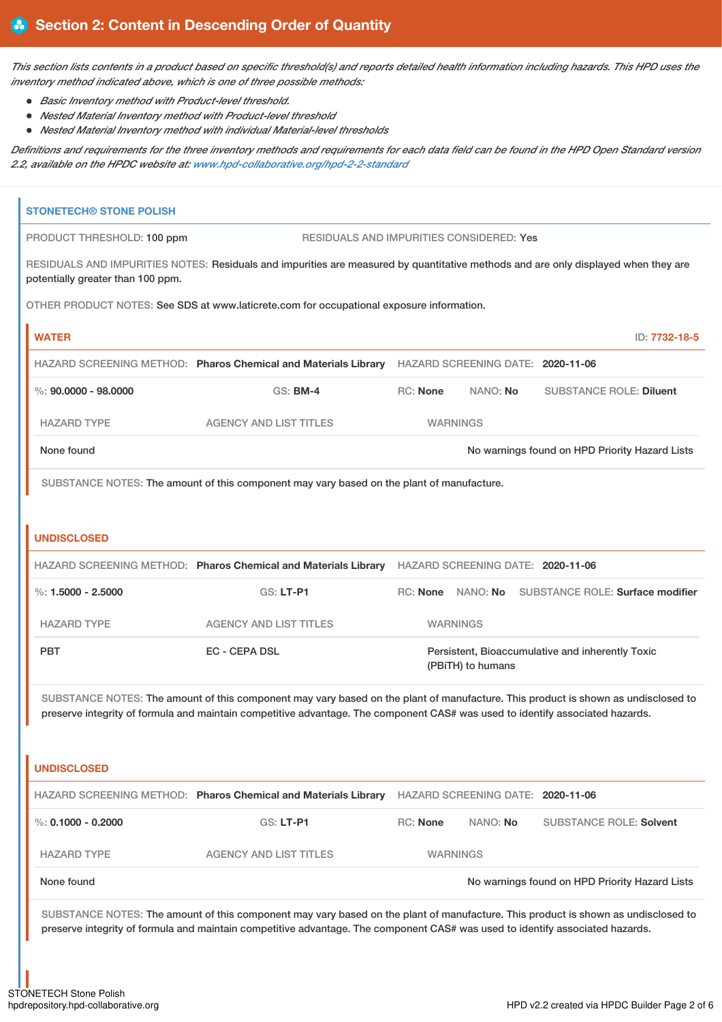This section lists contents in a product based on specific threshold(s) and reports detailed health information including hazards. This HPD uses the *inventory method indicated above, which is one of three possible methods:*

- *Basic Inventory method with Product-level threshold.*
- *Nested Material Inventory method with Product-level threshold*
- *Nested Material Inventory method with individual Material-level thresholds*

Definitions and requirements for the three inventory methods and requirements for each data field can be found in the HPD Open Standard version *2.2, available on the HPDC website at: [www.hpd-collaborative.org/hpd-2-2-standard](https://www.hpd-collaborative.org/hpd-2-2-standard)*

| <b>STONETECH® STONE POLISH</b>    |                                                                                                                                                                                                                                                                    |          |                                   |                                                    |
|-----------------------------------|--------------------------------------------------------------------------------------------------------------------------------------------------------------------------------------------------------------------------------------------------------------------|----------|-----------------------------------|----------------------------------------------------|
| PRODUCT THRESHOLD: 100 ppm        | RESIDUALS AND IMPURITIES CONSIDERED: Yes                                                                                                                                                                                                                           |          |                                   |                                                    |
| potentially greater than 100 ppm. | RESIDUALS AND IMPURITIES NOTES: Residuals and impurities are measured by quantitative methods and are only displayed when they are                                                                                                                                 |          |                                   |                                                    |
|                                   | OTHER PRODUCT NOTES: See SDS at www.laticrete.com for occupational exposure information.                                                                                                                                                                           |          |                                   |                                                    |
| <b>WATER</b>                      |                                                                                                                                                                                                                                                                    |          |                                   | ID: 7732-18-5                                      |
|                                   | HAZARD SCREENING METHOD: Pharos Chemical and Materials Library HAZARD SCREENING DATE: 2020-11-06                                                                                                                                                                   |          |                                   |                                                    |
| $\%$ : 90.0000 - 98.0000          | <b>GS: BM-4</b>                                                                                                                                                                                                                                                    | RC: None | NANO: No                          | <b>SUBSTANCE ROLE: Diluent</b>                     |
| <b>HAZARD TYPE</b>                | <b>AGENCY AND LIST TITLES</b>                                                                                                                                                                                                                                      |          | <b>WARNINGS</b>                   |                                                    |
| None found                        |                                                                                                                                                                                                                                                                    |          |                                   | No warnings found on HPD Priority Hazard Lists     |
|                                   | SUBSTANCE NOTES: The amount of this component may vary based on the plant of manufacture.                                                                                                                                                                          |          |                                   |                                                    |
|                                   |                                                                                                                                                                                                                                                                    |          |                                   |                                                    |
| <b>UNDISCLOSED</b>                |                                                                                                                                                                                                                                                                    |          |                                   |                                                    |
|                                   | HAZARD SCREENING METHOD: Pharos Chemical and Materials Library HAZARD SCREENING DATE: 2020-11-06                                                                                                                                                                   |          |                                   |                                                    |
| %: $1.5000 - 2.5000$              | <b>GS: LT-P1</b>                                                                                                                                                                                                                                                   |          |                                   | RC: None NANO: No SUBSTANCE ROLE: Surface modifier |
| <b>HAZARD TYPE</b>                | <b>AGENCY AND LIST TITLES</b>                                                                                                                                                                                                                                      |          | <b>WARNINGS</b>                   |                                                    |
| <b>PBT</b>                        | EC - CEPA DSL                                                                                                                                                                                                                                                      |          | (PBITH) to humans                 | Persistent, Bioaccumulative and inherently Toxic   |
| <b>UNDISCLOSED</b>                | SUBSTANCE NOTES: The amount of this component may vary based on the plant of manufacture. This product is shown as undisclosed to<br>preserve integrity of formula and maintain competitive advantage. The component CAS# was used to identify associated hazards. |          |                                   |                                                    |
|                                   | HAZARD SCREENING METHOD: Pharos Chemical and Materials Library                                                                                                                                                                                                     |          | HAZARD SCREENING DATE: 2020-11-06 |                                                    |
| %: $0.1000 - 0.2000$              | GS: LT-P1                                                                                                                                                                                                                                                          | RC: None | NANO: No                          | <b>SUBSTANCE ROLE: Solvent</b>                     |
| <b>HAZARD TYPE</b>                | <b>AGENCY AND LIST TITLES</b>                                                                                                                                                                                                                                      |          | <b>WARNINGS</b>                   |                                                    |
| None found                        |                                                                                                                                                                                                                                                                    |          |                                   | No warnings found on HPD Priority Hazard Lists     |
|                                   | SUBSTANCE NOTES: The amount of this component may vary based on the plant of manufacture. This product is shown as undisclosed to<br>preserve integrity of formula and maintain competitive advantage. The component CAS# was used to identify associated hazards. |          |                                   |                                                    |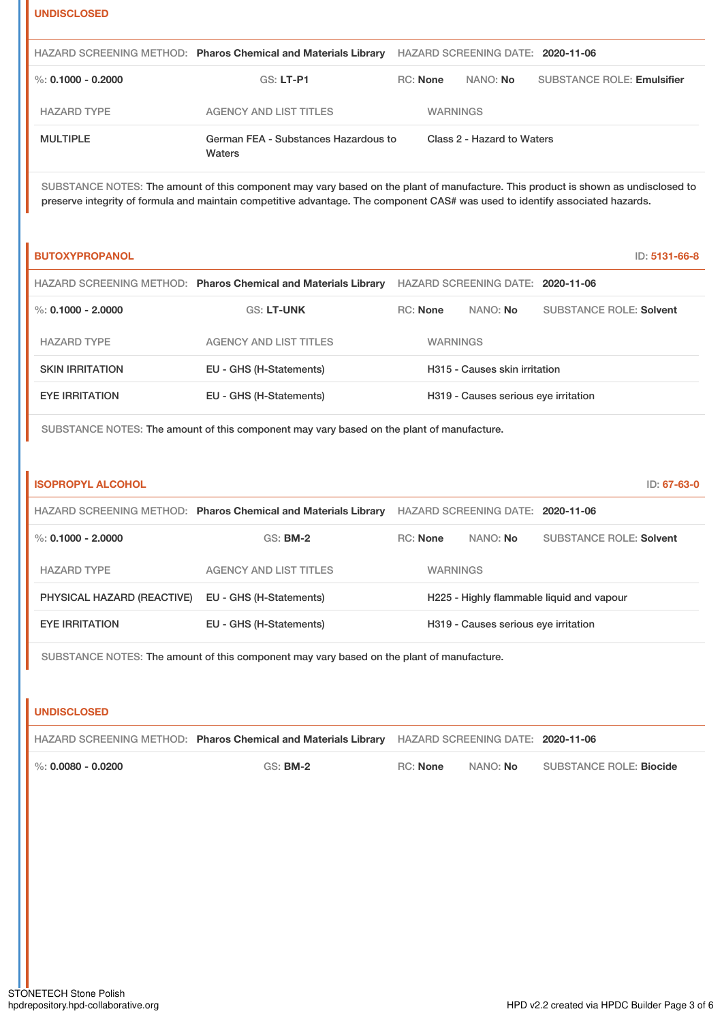| ı |  |  |  |  |
|---|--|--|--|--|
|   |  |  |  |  |
|   |  |  |  |  |

|                    | HAZARD SCREENING METHOD: Pharos Chemical and Materials Library | HAZARD SCREENING DATE: 2020-11-06 |                            |                                   |
|--------------------|----------------------------------------------------------------|-----------------------------------|----------------------------|-----------------------------------|
| %: 0.1000 - 0.2000 | GS: LT-P1                                                      | <b>RC:</b> None                   | NANO: <b>No</b>            | <b>SUBSTANCE ROLE: Emulsifier</b> |
| <b>HAZARD TYPE</b> | <b>AGENCY AND LIST TITLES</b>                                  | <b>WARNINGS</b>                   |                            |                                   |
| <b>MULTIPLE</b>    | German FEA - Substances Hazardous to<br>Waters                 |                                   | Class 2 - Hazard to Waters |                                   |

SUBSTANCE NOTES: The amount of this component may vary based on the plant of manufacture. This product is shown as undisclosed to preserve integrity of formula and maintain competitive advantage. The component CAS# was used to identify associated hazards.

| <b>BUTOXYPROPANOL</b>  |                                                                |                 |                                      | ID: 5131-66-8                  |
|------------------------|----------------------------------------------------------------|-----------------|--------------------------------------|--------------------------------|
|                        | HAZARD SCREENING METHOD: Pharos Chemical and Materials Library |                 | HAZARD SCREENING DATE: 2020-11-06    |                                |
| %: $0.1000 - 2.0000$   | <b>GS: LT-UNK</b>                                              | <b>RC:</b> None | NANO: <b>No</b>                      | <b>SUBSTANCE ROLE: Solvent</b> |
| <b>HAZARD TYPE</b>     | <b>AGENCY AND LIST TITLES</b>                                  | <b>WARNINGS</b> |                                      |                                |
| <b>SKIN IRRITATION</b> | EU - GHS (H-Statements)                                        |                 | H315 - Causes skin irritation        |                                |
| <b>EYE IRRITATION</b>  | EU - GHS (H-Statements)                                        |                 | H319 - Causes serious eye irritation |                                |

SUBSTANCE NOTES: The amount of this component may vary based on the plant of manufacture.

| <b>ISOPROPYL ALCOHOL</b>   |                                                                |                 |                                      | ID: 67-63-0                               |
|----------------------------|----------------------------------------------------------------|-----------------|--------------------------------------|-------------------------------------------|
|                            | HAZARD SCREENING METHOD: Pharos Chemical and Materials Library |                 | HAZARD SCREENING DATE: 2020-11-06    |                                           |
| %: $0.1000 - 2.0000$       | <b>GS: BM-2</b>                                                | <b>RC:</b> None | NANO: No                             | <b>SUBSTANCE ROLE: Solvent</b>            |
| <b>HAZARD TYPE</b>         | <b>AGENCY AND LIST TITLES</b>                                  | <b>WARNINGS</b> |                                      |                                           |
| PHYSICAL HAZARD (REACTIVE) | EU - GHS (H-Statements)                                        |                 |                                      | H225 - Highly flammable liquid and vapour |
| <b>EYE IRRITATION</b>      | EU - GHS (H-Statements)                                        |                 | H319 - Causes serious eye irritation |                                           |

SUBSTANCE NOTES: The amount of this component may vary based on the plant of manufacture.

| <b>UNDISCLOSED</b>                                                                               |                 |          |          |                         |
|--------------------------------------------------------------------------------------------------|-----------------|----------|----------|-------------------------|
| HAZARD SCREENING METHOD: Pharos Chemical and Materials Library HAZARD SCREENING DATE: 2020-11-06 |                 |          |          |                         |
| $\%$ : 0.0080 - 0.0200                                                                           | GS: <b>BM-2</b> | RC: None | NANO: No | SUBSTANCE ROLE: Biocide |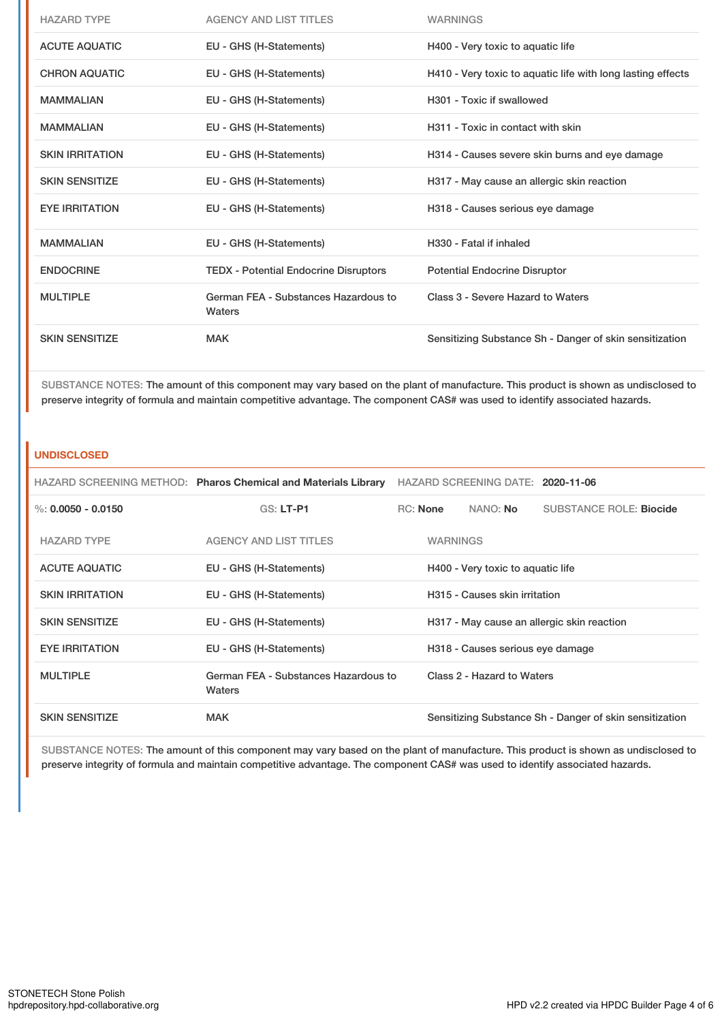| <b>HAZARD TYPE</b>     | <b>AGENCY AND LIST TITLES</b>                  | <b>WARNINGS</b>                                             |
|------------------------|------------------------------------------------|-------------------------------------------------------------|
| <b>ACUTE AQUATIC</b>   | EU - GHS (H-Statements)                        | H400 - Very toxic to aquatic life                           |
| <b>CHRON AQUATIC</b>   | EU - GHS (H-Statements)                        | H410 - Very toxic to aquatic life with long lasting effects |
| <b>MAMMALIAN</b>       | EU - GHS (H-Statements)                        | H301 - Toxic if swallowed                                   |
| <b>MAMMALIAN</b>       | EU - GHS (H-Statements)                        | H311 - Toxic in contact with skin                           |
| <b>SKIN IRRITATION</b> | EU - GHS (H-Statements)                        | H314 - Causes severe skin burns and eye damage              |
| <b>SKIN SENSITIZE</b>  | EU - GHS (H-Statements)                        | H317 - May cause an allergic skin reaction                  |
| <b>EYE IRRITATION</b>  | EU - GHS (H-Statements)                        | H318 - Causes serious eye damage                            |
| <b>MAMMALIAN</b>       | EU - GHS (H-Statements)                        | H330 - Fatal if inhaled                                     |
| <b>ENDOCRINE</b>       | <b>TEDX - Potential Endocrine Disruptors</b>   | <b>Potential Endocrine Disruptor</b>                        |
| <b>MULTIPLE</b>        | German FEA - Substances Hazardous to<br>Waters | Class 3 - Severe Hazard to Waters                           |
| <b>SKIN SENSITIZE</b>  | <b>MAK</b>                                     | Sensitizing Substance Sh - Danger of skin sensitization     |

SUBSTANCE NOTES: The amount of this component may vary based on the plant of manufacture. This product is shown as undisclosed to preserve integrity of formula and maintain competitive advantage. The component CAS# was used to identify associated hazards.

### **UNDISCLOSED**

|                        | HAZARD SCREENING METHOD: Pharos Chemical and Materials Library | HAZARD SCREENING DATE: 2020-11-06 |                 |                                   |                                                         |
|------------------------|----------------------------------------------------------------|-----------------------------------|-----------------|-----------------------------------|---------------------------------------------------------|
| $\%: 0.0050 - 0.0150$  | <b>GS: LT-P1</b>                                               |                                   | <b>RC:</b> None | NANO: <b>No</b>                   | <b>SUBSTANCE ROLE: Biocide</b>                          |
| <b>HAZARD TYPE</b>     | <b>AGENCY AND LIST TITLES</b>                                  |                                   | <b>WARNINGS</b> |                                   |                                                         |
| <b>ACUTE AQUATIC</b>   | EU - GHS (H-Statements)                                        |                                   |                 | H400 - Very toxic to aquatic life |                                                         |
| <b>SKIN IRRITATION</b> | EU - GHS (H-Statements)                                        |                                   |                 | H315 - Causes skin irritation     |                                                         |
| <b>SKIN SENSITIZE</b>  | EU - GHS (H-Statements)                                        |                                   |                 |                                   | H317 - May cause an allergic skin reaction              |
| <b>EYE IRRITATION</b>  | EU - GHS (H-Statements)                                        |                                   |                 | H318 - Causes serious eye damage  |                                                         |
| <b>MULTIPLE</b>        | German FEA - Substances Hazardous to<br>Waters                 |                                   |                 | Class 2 - Hazard to Waters        |                                                         |
| <b>SKIN SENSITIZE</b>  | <b>MAK</b>                                                     |                                   |                 |                                   | Sensitizing Substance Sh - Danger of skin sensitization |

SUBSTANCE NOTES: The amount of this component may vary based on the plant of manufacture. This product is shown as undisclosed to preserve integrity of formula and maintain competitive advantage. The component CAS# was used to identify associated hazards.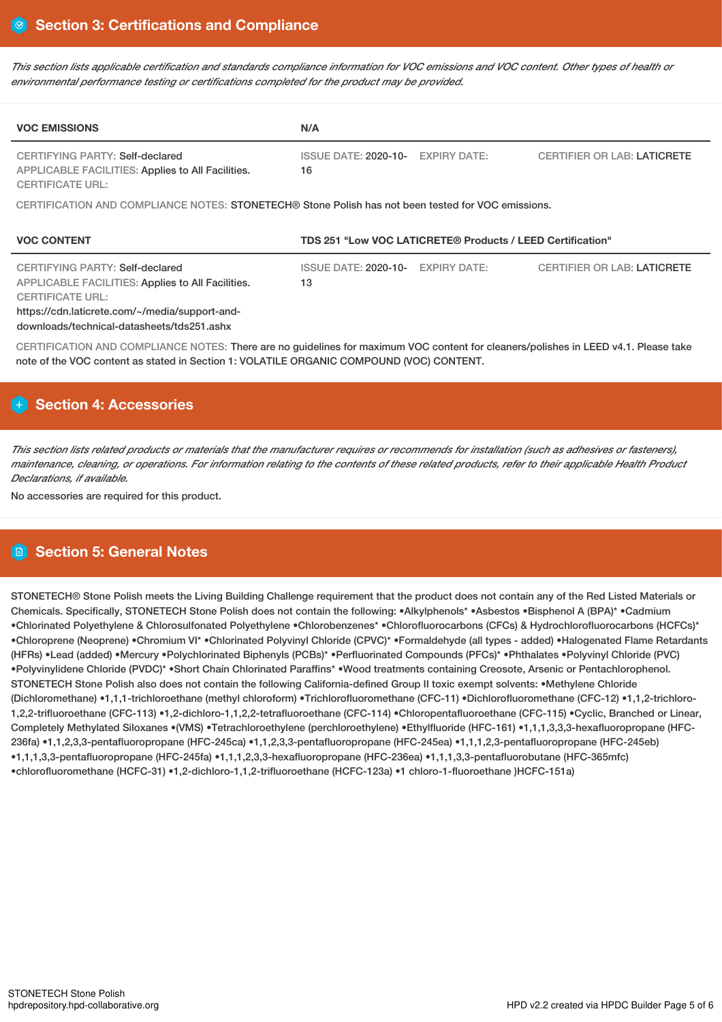This section lists applicable certification and standards compliance information for VOC emissions and VOC content. Other types of health or *environmental performance testing or certifications completed for the product may be provided.*

| <b>VOC EMISSIONS</b>                                                                                                                                                                                                            | N/A                                                                                                |  |  |  |  |  |  |
|---------------------------------------------------------------------------------------------------------------------------------------------------------------------------------------------------------------------------------|----------------------------------------------------------------------------------------------------|--|--|--|--|--|--|
| <b>CERTIFYING PARTY: Self-declared</b><br>APPLICABLE FACILITIES: Applies to All Facilities.<br><b>CERTIFICATE URL:</b>                                                                                                          | ISSUE DATE: 2020-10- EXPIRY DATE:<br><b>CERTIFIER OR LAB: LATICRETE</b><br>16                      |  |  |  |  |  |  |
|                                                                                                                                                                                                                                 | CERTIFICATION AND COMPLIANCE NOTES: STONETECH® Stone Polish has not been tested for VOC emissions. |  |  |  |  |  |  |
|                                                                                                                                                                                                                                 |                                                                                                    |  |  |  |  |  |  |
| <b>VOC CONTENT</b>                                                                                                                                                                                                              | TDS 251 "Low VOC LATICRETE® Products / LEED Certification"                                         |  |  |  |  |  |  |
| CERTIFYING PARTY: Self-declared<br><b>APPLICABLE FACILITIES: Applies to All Facilities.</b><br><b>CERTIFICATE URL:</b><br>https://cdn.laticrete.com/~/media/support-and-<br>downloads/technical-datasheets/tds251.ashx          | <b>ISSUE DATE: 2020-10-</b><br><b>CERTIFIER OR LAB: LATICRETE</b><br><b>EXPIRY DATE:</b><br>13     |  |  |  |  |  |  |
| CERTIFICATION AND COMPLIANCE NOTES: There are no guidelines for maximum VOC content for cleaners/polishes in LEED v4.1. Please take<br>note of the VOC content as stated in Section 1: VOLATILE ORGANIC COMPOUND (VOC) CONTENT. |                                                                                                    |  |  |  |  |  |  |

# **Section 4: Accessories**

This section lists related products or materials that the manufacturer requires or recommends for installation (such as adhesives or fasteners), maintenance, cleaning, or operations. For information relating to the contents of these related products, refer to their applicable Health Product *Declarations, if available.*

No accessories are required for this product.

# **Section 5: General Notes**

STONETECH® Stone Polish meets the Living Building Challenge requirement that the product does not contain any of the Red Listed Materials or Chemicals. Specifically, STONETECH Stone Polish does not contain the following: •Alkylphenols\* •Asbestos •Bisphenol A (BPA)\* •Cadmium •Chlorinated Polyethylene & Chlorosulfonated Polyethylene •Chlorobenzenes\* •Chlorofluorocarbons (CFCs) & Hydrochlorofluorocarbons (HCFCs)\* •Chloroprene (Neoprene) •Chromium VI\* •Chlorinated Polyvinyl Chloride (CPVC)\* •Formaldehyde (all types - added) •Halogenated Flame Retardants (HFRs) •Lead (added) •Mercury •Polychlorinated Biphenyls (PCBs)\* •Perfluorinated Compounds (PFCs)\* •Phthalates •Polyvinyl Chloride (PVC) •Polyvinylidene Chloride (PVDC)\* •Short Chain Chlorinated Paraffins\* •Wood treatments containing Creosote, Arsenic or Pentachlorophenol. STONETECH Stone Polish also does not contain the following California-defined Group II toxic exempt solvents: •Methylene Chloride (Dichloromethane) •1,1,1-trichloroethane (methyl chloroform) •Trichlorofluoromethane (CFC-11) •Dichlorofluoromethane (CFC-12) •1,1,2-trichloro-1,2,2-trifluoroethane (CFC-113) •1,2-dichloro-1,1,2,2-tetrafluoroethane (CFC-114) •Chloropentafluoroethane (CFC-115) •Cyclic, Branched or Linear, Completely Methylated Siloxanes •(VMS) •Tetrachloroethylene (perchloroethylene) •Ethylfluoride (HFC-161) •1,1,1,3,3,3-hexafluoropropane (HFC-236fa) •1,1,2,3,3-pentafluoropropane (HFC-245ca) •1,1,2,3,3-pentafluoropropane (HFC-245ea) •1,1,1,2,3-pentafluoropropane (HFC-245eb) •1,1,1,3,3-pentafluoropropane (HFC-245fa) •1,1,1,2,3,3-hexafluoropropane (HFC-236ea) •1,1,1,3,3-pentafluorobutane (HFC-365mfc) •chlorofluoromethane (HCFC-31) •1,2-dichloro-1,1,2-trifluoroethane (HCFC-123a) •1 chloro-1-fluoroethane )HCFC-151a)